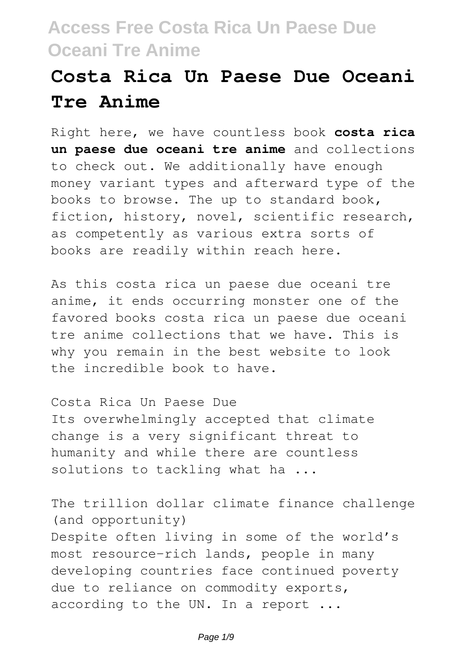## **Costa Rica Un Paese Due Oceani Tre Anime**

Right here, we have countless book **costa rica un paese due oceani tre anime** and collections to check out. We additionally have enough money variant types and afterward type of the books to browse. The up to standard book, fiction, history, novel, scientific research, as competently as various extra sorts of books are readily within reach here.

As this costa rica un paese due oceani tre anime, it ends occurring monster one of the favored books costa rica un paese due oceani tre anime collections that we have. This is why you remain in the best website to look the incredible book to have.

Costa Rica Un Paese Due Its overwhelmingly accepted that climate change is a very significant threat to humanity and while there are countless solutions to tackling what ha ...

The trillion dollar climate finance challenge (and opportunity) Despite often living in some of the world's most resource-rich lands, people in many developing countries face continued poverty due to reliance on commodity exports, according to the UN. In a report ...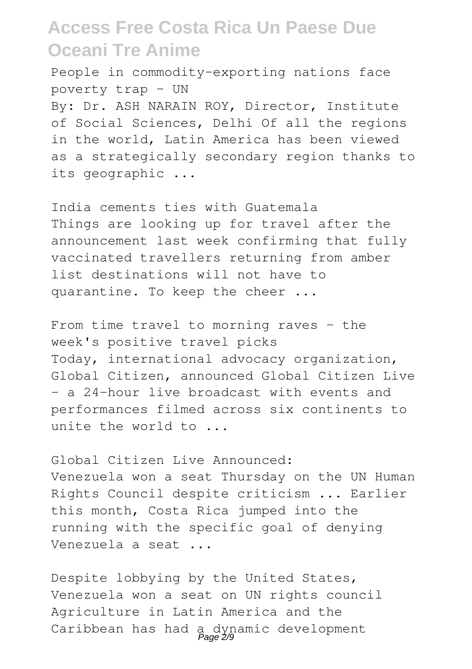People in commodity-exporting nations face poverty trap – UN

By: Dr. ASH NARAIN ROY, Director, Institute of Social Sciences, Delhi Of all the regions in the world, Latin America has been viewed as a strategically secondary region thanks to its geographic ...

India cements ties with Guatemala Things are looking up for travel after the announcement last week confirming that fully vaccinated travellers returning from amber list destinations will not have to quarantine. To keep the cheer ...

From time travel to morning raves – the week's positive travel picks Today, international advocacy organization, Global Citizen, announced Global Citizen Live - a 24-hour live broadcast with events and performances filmed across six continents to unite the world to ...

Global Citizen Live Announced: Venezuela won a seat Thursday on the UN Human Rights Council despite criticism ... Earlier this month, Costa Rica jumped into the running with the specific goal of denying Venezuela a seat ...

Despite lobbying by the United States, Venezuela won a seat on UN rights council Agriculture in Latin America and the Caribbean has had a dynamic development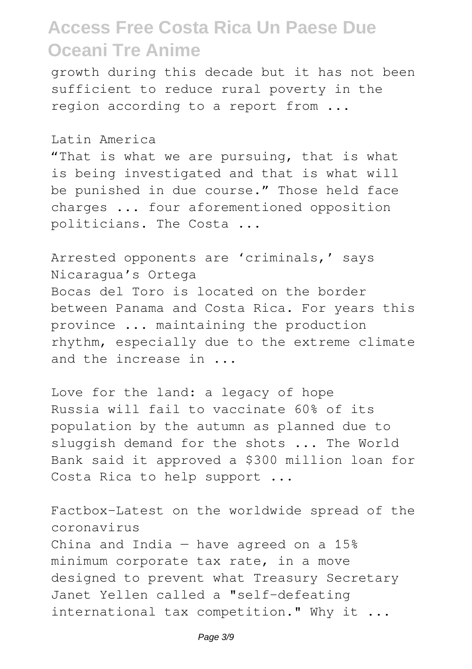growth during this decade but it has not been sufficient to reduce rural poverty in the region according to a report from ...

Latin America

"That is what we are pursuing, that is what is being investigated and that is what will be punished in due course." Those held face charges ... four aforementioned opposition politicians. The Costa ...

Arrested opponents are 'criminals,' says Nicaragua's Ortega Bocas del Toro is located on the border between Panama and Costa Rica. For years this province ... maintaining the production rhythm, especially due to the extreme climate and the increase in ...

Love for the land: a legacy of hope Russia will fail to vaccinate 60% of its population by the autumn as planned due to sluggish demand for the shots ... The World Bank said it approved a \$300 million loan for Costa Rica to help support ...

Factbox-Latest on the worldwide spread of the coronavirus China and India  $-$  have agreed on a 15% minimum corporate tax rate, in a move designed to prevent what Treasury Secretary Janet Yellen called a "self-defeating international tax competition." Why it ...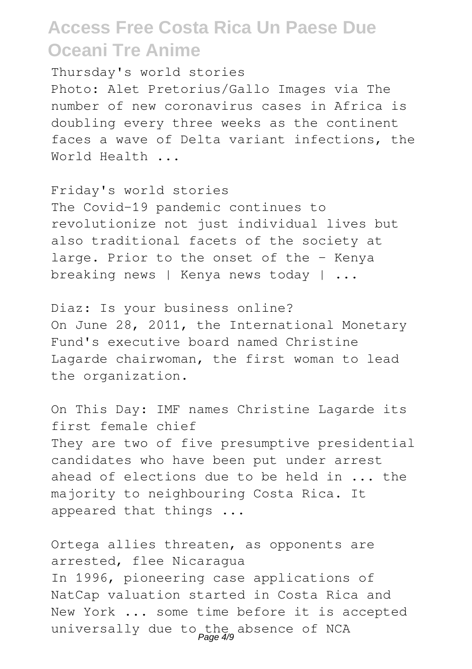Thursday's world stories

Photo: Alet Pretorius/Gallo Images via The number of new coronavirus cases in Africa is doubling every three weeks as the continent faces a wave of Delta variant infections, the World Health ...

Friday's world stories The Covid-19 pandemic continues to revolutionize not just individual lives but also traditional facets of the society at large. Prior to the onset of the - Kenya breaking news | Kenya news today | ...

Diaz: Is your business online? On June 28, 2011, the International Monetary Fund's executive board named Christine Lagarde chairwoman, the first woman to lead the organization.

On This Day: IMF names Christine Lagarde its first female chief They are two of five presumptive presidential candidates who have been put under arrest ahead of elections due to be held in ... the majority to neighbouring Costa Rica. It appeared that things ...

Ortega allies threaten, as opponents are arrested, flee Nicaragua In 1996, pioneering case applications of NatCap valuation started in Costa Rica and New York ... some time before it is accepted universally due to the absence of NCA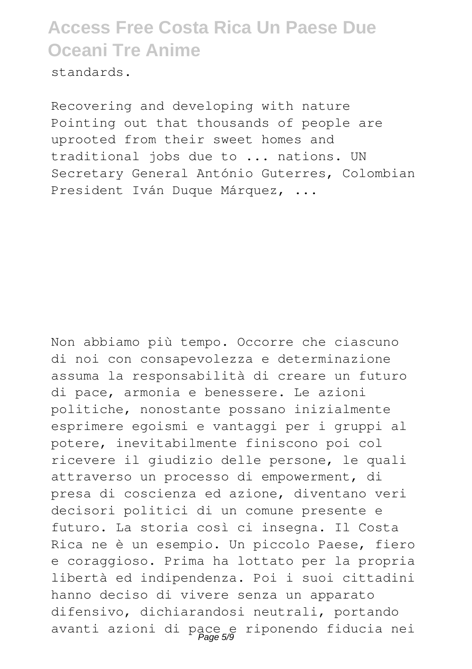standards.

Recovering and developing with nature Pointing out that thousands of people are uprooted from their sweet homes and traditional jobs due to ... nations. UN Secretary General António Guterres, Colombian President Iván Duque Márquez, ...

Non abbiamo più tempo. Occorre che ciascuno di noi con consapevolezza e determinazione assuma la responsabilità di creare un futuro di pace, armonia e benessere. Le azioni politiche, nonostante possano inizialmente esprimere egoismi e vantaggi per i gruppi al potere, inevitabilmente finiscono poi col ricevere il giudizio delle persone, le quali attraverso un processo di empowerment, di presa di coscienza ed azione, diventano veri decisori politici di un comune presente e futuro. La storia così ci insegna. Il Costa Rica ne è un esempio. Un piccolo Paese, fiero e coraggioso. Prima ha lottato per la propria libertà ed indipendenza. Poi i suoi cittadini hanno deciso di vivere senza un apparato difensivo, dichiarandosi neutrali, portando avanti azioni di pace e riponendo fiducia nei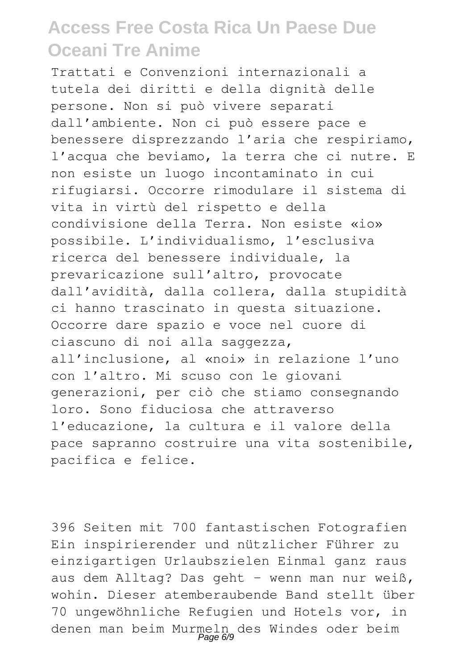Trattati e Convenzioni internazionali a tutela dei diritti e della dignità delle persone. Non si può vivere separati dall'ambiente. Non ci può essere pace e benessere disprezzando l'aria che respiriamo, l'acqua che beviamo, la terra che ci nutre. E non esiste un luogo incontaminato in cui rifugiarsi. Occorre rimodulare il sistema di vita in virtù del rispetto e della condivisione della Terra. Non esiste «io» possibile. L'individualismo, l'esclusiva ricerca del benessere individuale, la prevaricazione sull'altro, provocate dall'avidità, dalla collera, dalla stupidità ci hanno trascinato in questa situazione. Occorre dare spazio e voce nel cuore di ciascuno di noi alla saggezza, all'inclusione, al «noi» in relazione l'uno con l'altro. Mi scuso con le giovani generazioni, per ciò che stiamo consegnando loro. Sono fiduciosa che attraverso l'educazione, la cultura e il valore della pace sapranno costruire una vita sostenibile, pacifica e felice.

396 Seiten mit 700 fantastischen Fotografien Ein inspirierender und nützlicher Führer zu einzigartigen Urlaubszielen Einmal ganz raus aus dem Alltag? Das geht - wenn man nur weiß, wohin. Dieser atemberaubende Band stellt über 70 ungewöhnliche Refugien und Hotels vor, in denen man beim Murmeln des Windes oder beim Page 6/9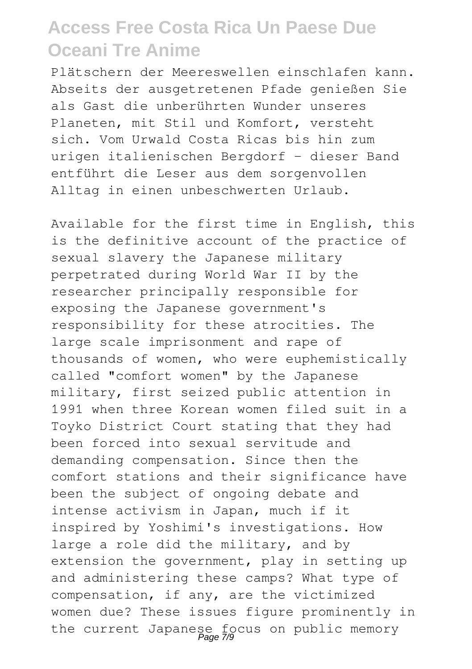Plätschern der Meereswellen einschlafen kann. Abseits der ausgetretenen Pfade genießen Sie als Gast die unberührten Wunder unseres Planeten, mit Stil und Komfort, versteht sich. Vom Urwald Costa Ricas bis hin zum urigen italienischen Bergdorf - dieser Band entführt die Leser aus dem sorgenvollen Alltag in einen unbeschwerten Urlaub.

Available for the first time in English, this is the definitive account of the practice of sexual slavery the Japanese military perpetrated during World War II by the researcher principally responsible for exposing the Japanese government's responsibility for these atrocities. The large scale imprisonment and rape of thousands of women, who were euphemistically called "comfort women" by the Japanese military, first seized public attention in 1991 when three Korean women filed suit in a Toyko District Court stating that they had been forced into sexual servitude and demanding compensation. Since then the comfort stations and their significance have been the subject of ongoing debate and intense activism in Japan, much if it inspired by Yoshimi's investigations. How large a role did the military, and by extension the government, play in setting up and administering these camps? What type of compensation, if any, are the victimized women due? These issues figure prominently in the current Japanese focus on public memory Page 7/9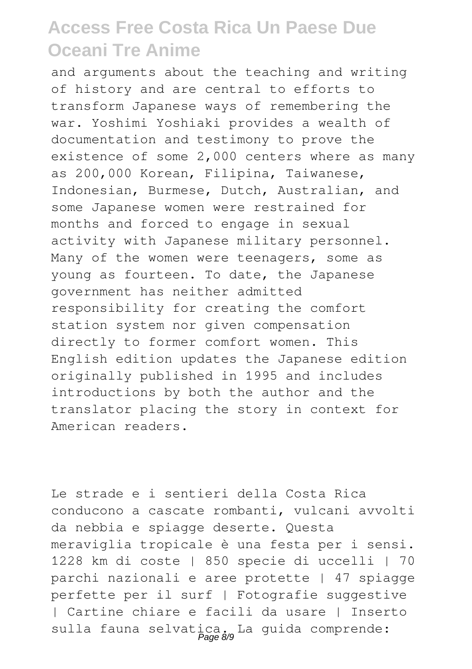and arguments about the teaching and writing of history and are central to efforts to transform Japanese ways of remembering the war. Yoshimi Yoshiaki provides a wealth of documentation and testimony to prove the existence of some 2,000 centers where as many as 200,000 Korean, Filipina, Taiwanese, Indonesian, Burmese, Dutch, Australian, and some Japanese women were restrained for months and forced to engage in sexual activity with Japanese military personnel. Many of the women were teenagers, some as young as fourteen. To date, the Japanese government has neither admitted responsibility for creating the comfort station system nor given compensation directly to former comfort women. This English edition updates the Japanese edition originally published in 1995 and includes introductions by both the author and the translator placing the story in context for American readers.

Le strade e i sentieri della Costa Rica conducono a cascate rombanti, vulcani avvolti da nebbia e spiagge deserte. Questa meraviglia tropicale è una festa per i sensi. 1228 km di coste | 850 specie di uccelli | 70 parchi nazionali e aree protette | 47 spiagge perfette per il surf | Fotografie suggestive | Cartine chiare e facili da usare | Inserto sulla fauna selvatica. La guida comprende: